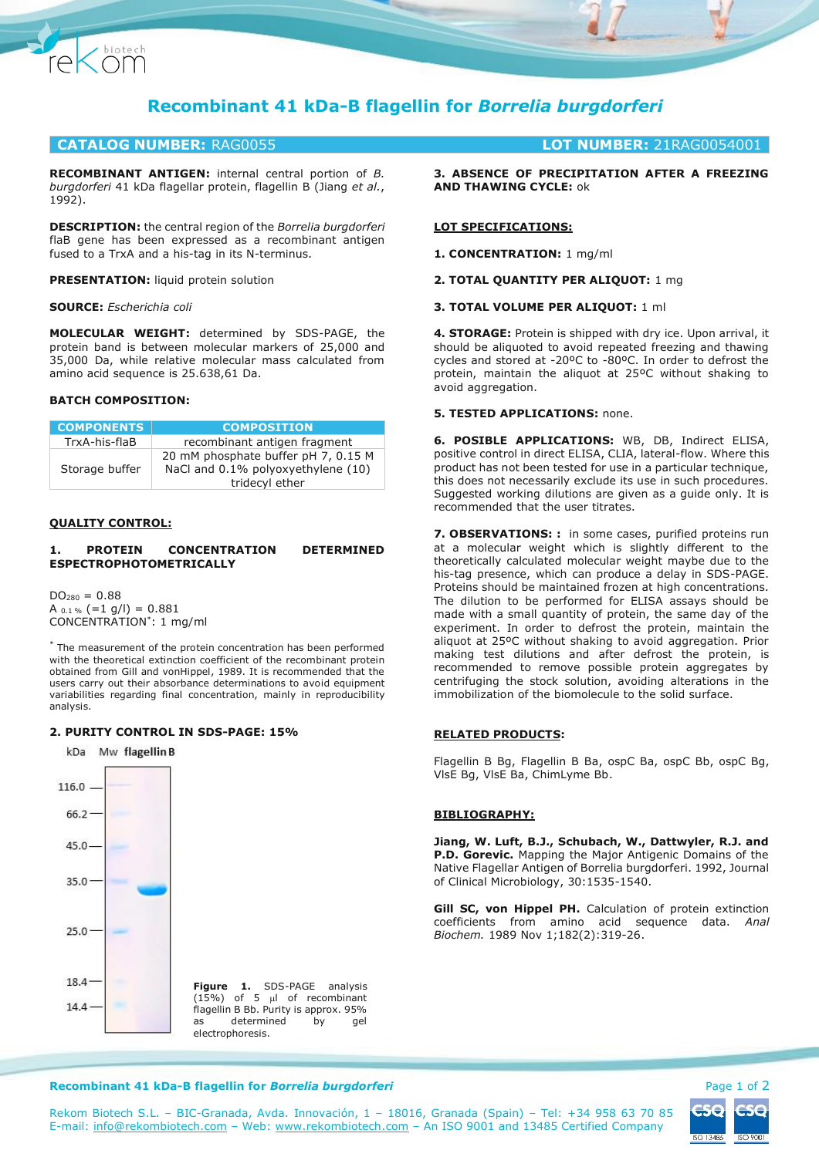

# **CATALOG NUMBER:** RAG0055 **LOT NUMBER:** 21RAG0054001

**RECOMBINANT ANTIGEN:** internal central portion of *B. burgdorferi* 41 kDa flagellar protein, flagellin B (Jiang *et al.*, 1992).

**DESCRIPTION:** the central region of the *Borrelia burgdorferi* flaB gene has been expressed as a recombinant antigen fused to a TrxA and a his-tag in its N-terminus.

**PRESENTATION:** liquid protein solution

#### **SOURCE:** *Escherichia coli*

Chiotech

**MOLECULAR WEIGHT:** determined by SDS-PAGE, the protein band is between molecular markers of 25,000 and 35,000 Da, while relative molecular mass calculated from amino acid sequence is 25.638,61 Da.

## **BATCH COMPOSITION:**

| <b>COMPONENTS</b> | <b>COMPOSITION</b>                                                                          |
|-------------------|---------------------------------------------------------------------------------------------|
| TrxA-his-flaB     | recombinant antigen fragment                                                                |
| Storage buffer    | 20 mM phosphate buffer pH 7, 0.15 M<br>NaCl and 0.1% polyoxyethylene (10)<br>tridecyl ether |

#### **QUALITY CONTROL:**

#### **1. PROTEIN CONCENTRATION DETERMINED ESPECTROPHOTOMETRICALLY**

 $DO<sub>280</sub> = 0.88$ A  $_{0.1\%}$  (=1 g/l) = 0.881 CONCENTRATION\* : 1 mg/ml

\* The measurement of the protein concentration has been performed with the theoretical extinction coefficient of the recombinant protein obtained from Gill and vonHippel, 1989. It is recommended that the users carry out their absorbance determinations to avoid equipment variabilities regarding final concentration, mainly in reproducibility analysis.

### **2. PURITY CONTROL IN SDS-PAGE: 15%**



**3. ABSENCE OF PRECIPITATION AFTER A FREEZING AND THAWING CYCLE:** ok

## **LOT SPECIFICATIONS:**

**1. CONCENTRATION:** 1 mg/ml

### **2. TOTAL QUANTITY PER ALIQUOT:** 1 mg

## **3. TOTAL VOLUME PER ALIQUOT:** 1 ml

**4. STORAGE:** Protein is shipped with dry ice. Upon arrival, it should be aliquoted to avoid repeated freezing and thawing cycles and stored at -20ºC to -80ºC. In order to defrost the protein, maintain the aliquot at 25ºC without shaking to avoid aggregation.

### **5. TESTED APPLICATIONS:** none.

**6. POSIBLE APPLICATIONS:** WB, DB, Indirect ELISA, positive control in direct ELISA, CLIA, lateral-flow. Where this product has not been tested for use in a particular technique, this does not necessarily exclude its use in such procedures. Suggested working dilutions are given as a guide only. It is recommended that the user titrates.

**7. OBSERVATIONS: :** in some cases, purified proteins run at a molecular weight which is slightly different to the theoretically calculated molecular weight maybe due to the his-tag presence, which can produce a delay in SDS-PAGE. Proteins should be maintained frozen at high concentrations. The dilution to be performed for ELISA assays should be made with a small quantity of protein, the same day of the experiment. In order to defrost the protein, maintain the aliquot at 25ºC without shaking to avoid aggregation. Prior making test dilutions and after defrost the protein, is recommended to remove possible protein aggregates by centrifuging the stock solution, avoiding alterations in the immobilization of the biomolecule to the solid surface.

## **RELATED PRODUCTS:**

Flagellin B Bg, Flagellin B Ba, ospC Ba, ospC Bb, ospC Bg, VlsE Bg, VlsE Ba, ChimLyme Bb.

### **BIBLIOGRAPHY:**

**Jiang, W. Luft, B.J., Schubach, W., Dattwyler, R.J. and P.D. Gorevic.** Mapping the Major Antigenic Domains of the Native Flagellar Antigen of Borrelia burgdorferi. 1992, Journal of Clinical Microbiology, 30:1535-1540.

**Gill SC, von Hippel PH.** Calculation of protein extinction coefficients from amino acid sequence data. *Anal Biochem.* 1989 Nov 1;182(2):319-26.

#### **Recombinant 41 kDa-B flagellin for** *Borrelia burgdorferi* **Page 1 of 2 and** *Page 1 of 2* **and** *Page 1 of 2*

ISO 13485 ISO 900

Rekom Biotech S.L. – BIC-Granada, Avda. Innovación, 1 – 18016, Granada (Spain) – Tel: +34 958 63 70 85 E-mail: [info@rekombiotech.com](mailto:info@rekombiotech.com) – Web: [www.rekombiotech.com](file:///D:/Dropbox/Rekom/pdfs/www.rekombiotech.com) – An ISO 9001 and 13485 Certified Company